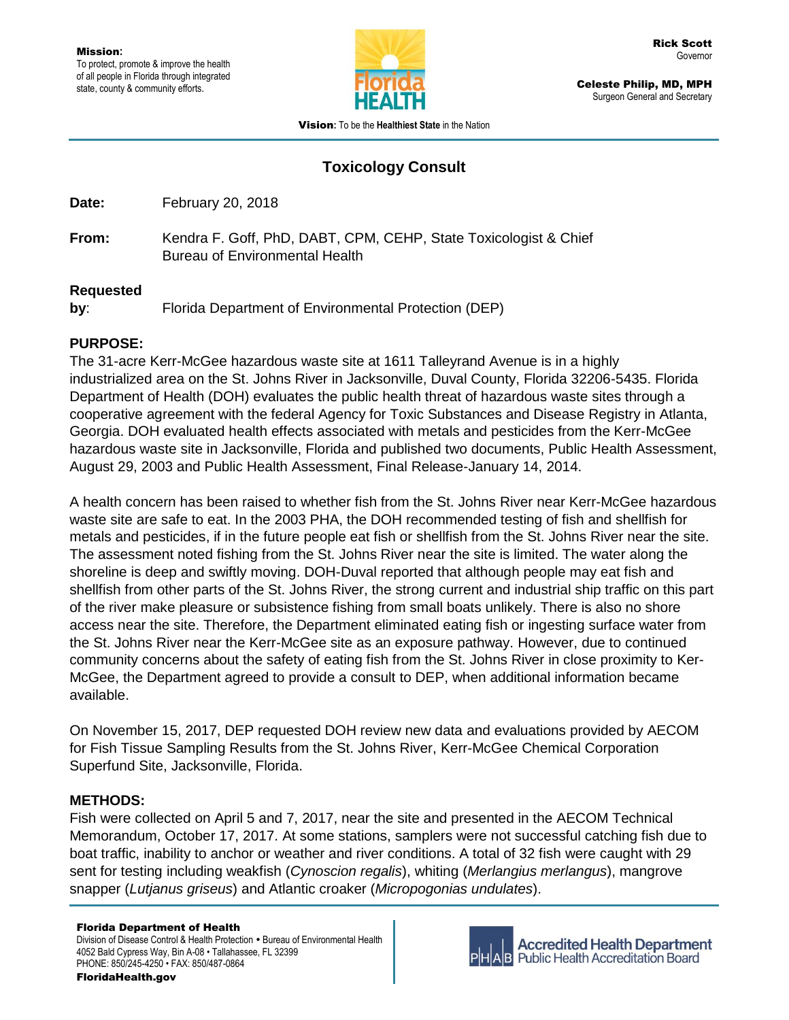

Celeste Philip, MD, MPH Surgeon General and Secretary

Vision**:** To be the **Healthiest State** in the Nation

# **Toxicology Consult**

**Date:** February 20, 2018

**From:** Kendra F. Goff, PhD, DABT, CPM, CEHP, State Toxicologist & Chief Bureau of Environmental Health

### **Requested**

**by**: Florida Department of Environmental Protection (DEP)

## **PURPOSE:**

The 31-acre Kerr-McGee hazardous waste site at 1611 Talleyrand Avenue is in a highly industrialized area on the St. Johns River in Jacksonville, Duval County, Florida 32206-5435. Florida Department of Health (DOH) evaluates the public health threat of hazardous waste sites through a cooperative agreement with the federal Agency for Toxic Substances and Disease Registry in Atlanta, Georgia. DOH evaluated health effects associated with metals and pesticides from the Kerr-McGee hazardous waste site in Jacksonville, Florida and published two documents, Public Health Assessment, August 29, 2003 and Public Health Assessment, Final Release-January 14, 2014.

A health concern has been raised to whether fish from the St. Johns River near Kerr-McGee hazardous waste site are safe to eat. In the 2003 PHA, the DOH recommended testing of fish and shellfish for metals and pesticides, if in the future people eat fish or shellfish from the St. Johns River near the site. The assessment noted fishing from the St. Johns River near the site is limited. The water along the shoreline is deep and swiftly moving. DOH-Duval reported that although people may eat fish and shellfish from other parts of the St. Johns River, the strong current and industrial ship traffic on this part of the river make pleasure or subsistence fishing from small boats unlikely. There is also no shore access near the site. Therefore, the Department eliminated eating fish or ingesting surface water from the St. Johns River near the Kerr-McGee site as an exposure pathway. However, due to continued community concerns about the safety of eating fish from the St. Johns River in close proximity to Ker-McGee, the Department agreed to provide a consult to DEP, when additional information became available.

On November 15, 2017, DEP requested DOH review new data and evaluations provided by AECOM for Fish Tissue Sampling Results from the St. Johns River, Kerr-McGee Chemical Corporation Superfund Site, Jacksonville, Florida.

## **METHODS:**

Fish were collected on April 5 and 7, 2017, near the site and presented in the AECOM Technical Memorandum, October 17, 2017. At some stations, samplers were not successful catching fish due to boat traffic, inability to anchor or weather and river conditions. A total of 32 fish were caught with 29 sent for testing including weakfish (*Cynoscion regalis*), whiting (*Merlangius merlangus*), mangrove snapper (*Lutjanus griseus*) and Atlantic croaker (*Micropogonias undulates*).

#### Florida Department of Health

Division of Disease Control & Health Protection . Bureau of Environmental Health 4052 Bald Cypress Way, Bin A-08 • Tallahassee, FL 32399 PHONE: 850/245-4250 • FAX: 850/487-0864



**Accredited Health Department Public Health Accreditation Board**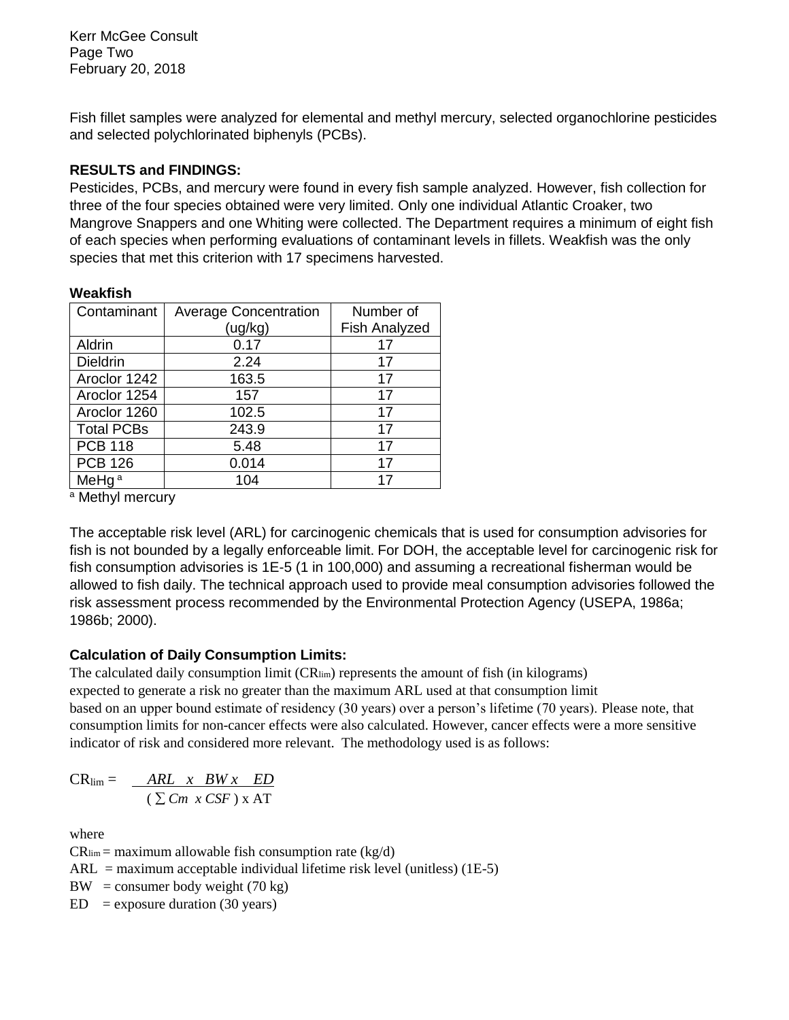Fish fillet samples were analyzed for elemental and methyl mercury, selected organochlorine pesticides and selected polychlorinated biphenyls (PCBs).

### **RESULTS and FINDINGS:**

Pesticides, PCBs, and mercury were found in every fish sample analyzed. However, fish collection for three of the four species obtained were very limited. Only one individual Atlantic Croaker, two Mangrove Snappers and one Whiting were collected. The Department requires a minimum of eight fish of each species when performing evaluations of contaminant levels in fillets. Weakfish was the only species that met this criterion with 17 specimens harvested.

### **Weakfish**

| Contaminant       | <b>Average Concentration</b> | Number of            |
|-------------------|------------------------------|----------------------|
|                   | (ug/kg)                      | <b>Fish Analyzed</b> |
| Aldrin            | 0.17                         | 17                   |
| <b>Dieldrin</b>   | 2.24                         | 17                   |
| Aroclor 1242      | 163.5                        | 17                   |
| Aroclor 1254      | 157                          | 17                   |
| Aroclor 1260      | 102.5                        | 17                   |
| <b>Total PCBs</b> | 243.9                        | 17                   |
| <b>PCB 118</b>    | 5.48                         | 17                   |
| <b>PCB 126</b>    | 0.014                        | 17                   |
| MeHg <sup>a</sup> | 104                          | 17                   |

a Methyl mercury

The acceptable risk level (ARL) for carcinogenic chemicals that is used for consumption advisories for fish is not bounded by a legally enforceable limit. For DOH, the acceptable level for carcinogenic risk for fish consumption advisories is 1E-5 (1 in 100,000) and assuming a recreational fisherman would be allowed to fish daily. The technical approach used to provide meal consumption advisories followed the risk assessment process recommended by the Environmental Protection Agency (USEPA, 1986a; 1986b; 2000).

### **Calculation of Daily Consumption Limits:**

The calculated daily consumption limit (CRlim) represents the amount of fish (in kilograms) expected to generate a risk no greater than the maximum ARL used at that consumption limit based on an upper bound estimate of residency (30 years) over a person's lifetime (70 years). Please note, that consumption limits for non-cancer effects were also calculated. However, cancer effects were a more sensitive indicator of risk and considered more relevant. The methodology used is as follows:

$$
CR_{\text{lim}} = \frac{ARL \times BW \times ED}{(\sum Cm \times CSF) \times AT}
$$

where

 $CR_{\text{lim}} =$  maximum allowable fish consumption rate (kg/d)

- $ARL =$  maximum acceptable individual lifetime risk level (unitless) (1E-5)
- $BW = \text{consumer body weight} (70 \text{ kg})$
- $ED$  = exposure duration (30 years)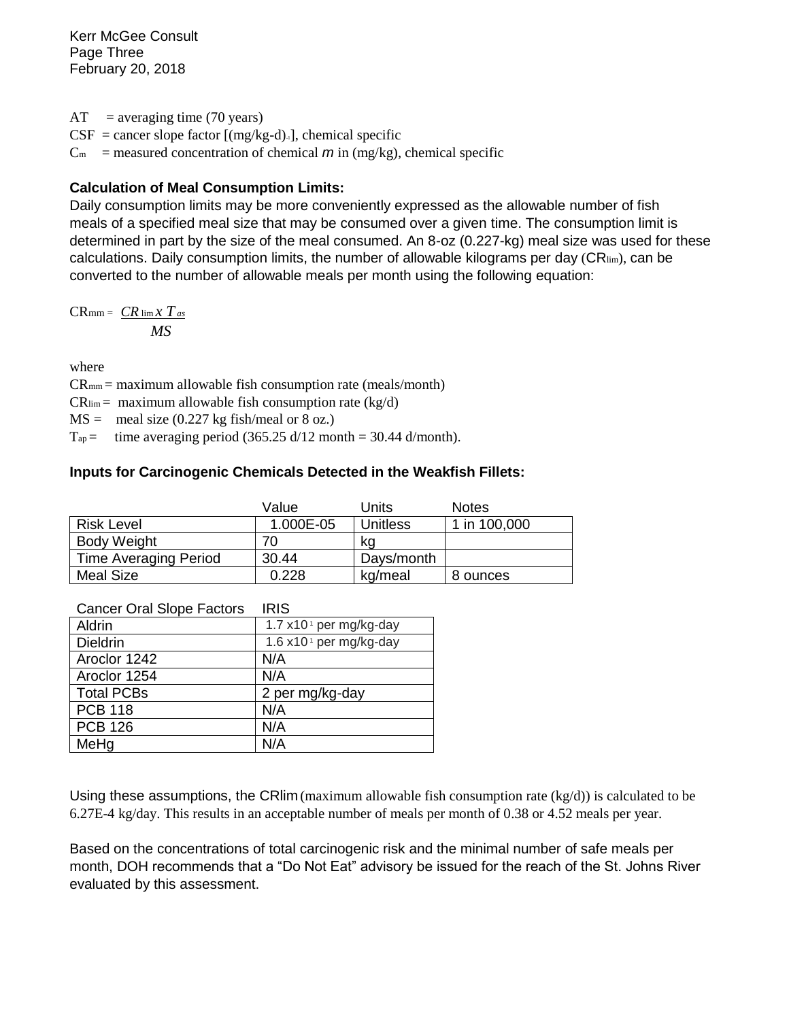Kerr McGee Consult Page Three February 20, 2018

 $AT = averageing time (70 years)$  $CSF = \text{cancer slope factor}$  [(mg/kg-d)-1], chemical specific  $C_m$  = measured concentration of chemical  $m$  in (mg/kg), chemical specific

### **Calculation of Meal Consumption Limits:**

Daily consumption limits may be more conveniently expressed as the allowable number of fish meals of a specified meal size that may be consumed over a given time. The consumption limit is determined in part by the size of the meal consumed. An 8-oz (0.227-kg) meal size was used for these calculations. Daily consumption limits, the number of allowable kilograms per day (CRIim), can be converted to the number of allowable meals per month using the following equation:

 $CR_{\text{mm}} = CR$   $\lim_{x \to \infty} x T_{as}$  *MS*

where

 $CR_{mm}$  = maximum allowable fish consumption rate (meals/month)

 $CR_{\text{lim}} =$  maximum allowable fish consumption rate (kg/d)

 $MS =$  meal size (0.227 kg fish/meal or 8 oz.)

 $T_{ap}$  = time averaging period (365.25 d/12 month = 30.44 d/month).

### **Inputs for Carcinogenic Chemicals Detected in the Weakfish Fillets:**

|                              | Value     | Units           | <b>Notes</b> |
|------------------------------|-----------|-----------------|--------------|
| <b>Risk Level</b>            | 1.000E-05 | <b>Unitless</b> | 1 in 100,000 |
| Body Weight                  |           | kq              |              |
| <b>Time Averaging Period</b> | 30.44     | Days/month      |              |
| <b>Meal Size</b>             | 0.228     | kg/meal         | 8 ounces     |

| Aldrin            | 1.7 x10 <sup>1</sup> per mg/kg-day |
|-------------------|------------------------------------|
| <b>Dieldrin</b>   | 1.6 x10 <sup>1</sup> per mg/kg-day |
| Aroclor 1242      | N/A                                |
| Aroclor 1254      | N/A                                |
| <b>Total PCBs</b> | 2 per mg/kg-day                    |
| <b>PCB 118</b>    | N/A                                |
| <b>PCB 126</b>    | N/A                                |
| MeHg              | N/A                                |

#### Cancer Oral Slope Factors IRIS

Using these assumptions, the CRI im (maximum allowable fish consumption rate ( $kg/d$ )) is calculated to be 6.27E-4 kg/day. This results in an acceptable number of meals per month of 0.38 or 4.52 meals per year.

Based on the concentrations of total carcinogenic risk and the minimal number of safe meals per month, DOH recommends that a "Do Not Eat" advisory be issued for the reach of the St. Johns River evaluated by this assessment.